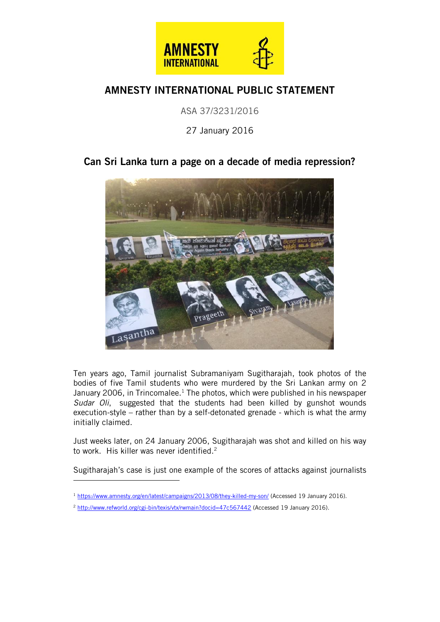

## AMNESTY INTERNATIONAL PUBLIC STATEMENT

ASA 37/3231/2016

27 January 2016

## Can Sri Lanka turn a page on a decade of media repression?



Ten years ago, Tamil journalist Subramaniyam Sugitharajah, took photos of the bodies of five Tamil students who were murdered by the Sri Lankan army on 2 January 2006, in Trincomalee.<sup>1</sup> The photos, which were published in his newspaper *Sudar Oli*, suggested that the students had been killed by gunshot wounds execution-style – rather than by a self-detonated grenade - which is what the army initially claimed.

Just weeks later, on 24 January 2006, Sugitharajah was shot and killed on his way to work. His killer was never identified. 2

Sugitharajah's case is just one example of the scores of attacks against journalists

ł

<sup>&</sup>lt;sup>1</sup> <https://www.amnesty.org/en/latest/campaigns/2013/08/they-killed-my-son/> (Accessed 19 January 2016).

<sup>&</sup>lt;sup>2</sup> <http://www.refworld.org/cgi-bin/texis/vtx/rwmain?docid=47c567442> (Accessed 19 January 2016).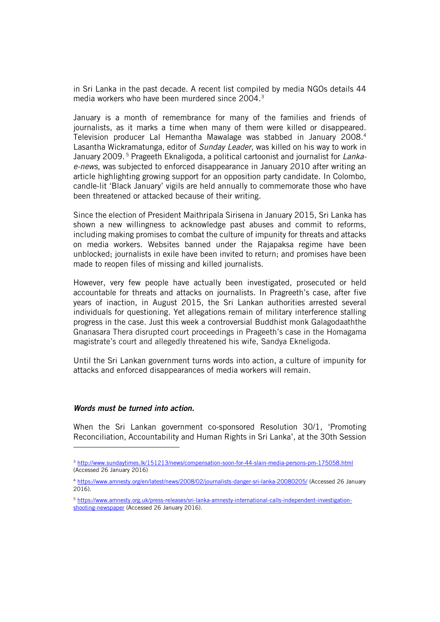in Sri Lanka in the past decade. A recent list compiled by media NGOs details 44 media workers who have been murdered since 2004.<sup>3</sup>

January is a month of remembrance for many of the families and friends of journalists, as it marks a time when many of them were killed or disappeared. Television producer Lal Hemantha Mawalage was stabbed in January 2008.<sup>4</sup> Lasantha Wickramatunga, editor of *Sunday Leader*, was killed on his way to work in January 2009. <sup>5</sup> Prageeth Eknaligoda, a political cartoonist and journalist for *Lankae-news*, was subjected to enforced disappearance in January 2010 after writing an article highlighting growing support for an opposition party candidate. In Colombo, candle-lit 'Black January' vigils are held annually to commemorate those who have been threatened or attacked because of their writing.

Since the election of President Maithripala Sirisena in January 2015, Sri Lanka has shown a new willingness to acknowledge past abuses and commit to reforms, including making promises to combat the culture of impunity for threats and attacks on media workers. Websites banned under the Rajapaksa regime have been unblocked; journalists in exile have been invited to return; and promises have been made to reopen files of missing and killed journalists.

However, very few people have actually been investigated, prosecuted or held accountable for threats and attacks on journalists. In Pragreeth's case, after five years of inaction, in August 2015, the Sri Lankan authorities arrested several individuals for questioning. Yet allegations remain of military interference stalling progress in the case. Just this week a controversial Buddhist monk Galagodaaththe Gnanasara Thera disrupted court proceedings in Prageeth's case in the Homagama magistrate's court and allegedly threatened his wife, Sandya Ekneligoda.

Until the Sri Lankan government turns words into action, a culture of impunity for attacks and enforced disappearances of media workers will remain.

## *Words must be turned into action.*

ł

When the Sri Lankan government co-sponsored Resolution 30/1, 'Promoting Reconciliation, Accountability and Human Rights in Sri Lanka', at the 30th Session

<sup>3</sup> <http://www.sundaytimes.lk/151213/news/compensation-soon-for-44-slain-media-persons-pm-175058.html> (Accessed 26 January 2016)

<sup>4</sup> <https://www.amnesty.org/en/latest/news/2008/02/journalists-danger-sri-lanka-20080205/> (Accessed 26 January 2016).

<sup>5</sup> [https://www.amnesty.org.uk/press-releases/sri-lanka-amnesty-international-calls-independent-investigation](https://www.amnesty.org.uk/press-releases/sri-lanka-amnesty-international-calls-independent-investigation-shooting-newspaper)[shooting-newspaper](https://www.amnesty.org.uk/press-releases/sri-lanka-amnesty-international-calls-independent-investigation-shooting-newspaper) (Accessed 26 January 2016).